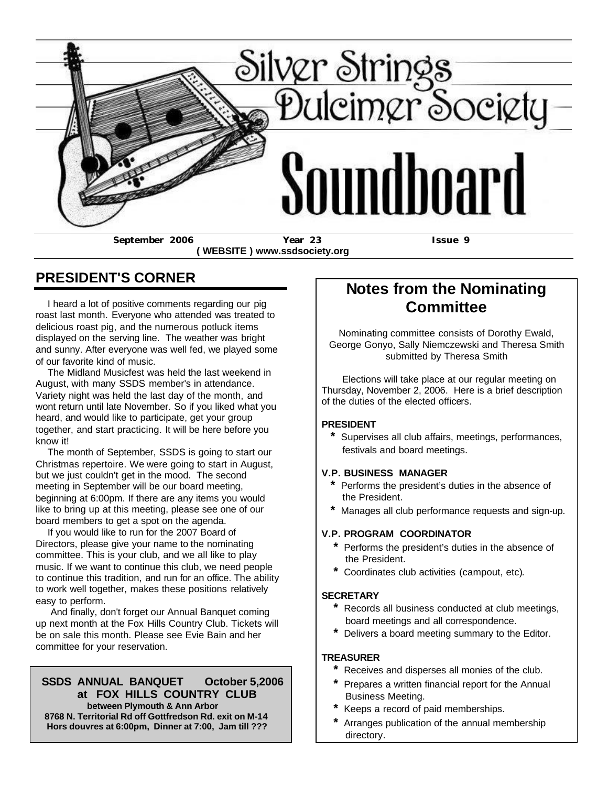

 **( WEBSITE ) www.ssdsociety.org**

### **PRESIDENT'S CORNER**

 I heard a lot of positive comments regarding our pig roast last month. Everyone who attended was treated to delicious roast pig, and the numerous potluck items displayed on the serving line. The weather was bright and sunny. After everyone was well fed, we played some of our favorite kind of music.

 The Midland Musicfest was held the last weekend in August, with many SSDS member's in attendance. Variety night was held the last day of the month, and wont return until late November. So if you liked what you heard, and would like to participate, get your group together, and start practicing. It will be here before you know it!

 The month of September, SSDS is going to start our Christmas repertoire. We were going to start in August, but we just couldn't get in the mood. The second meeting in September will be our board meeting, beginning at 6:00pm. If there are any items you would like to bring up at this meeting, please see one of our board members to get a spot on the agenda.

 If you would like to run for the 2007 Board of Directors, please give your name to the nominating committee. This is your club, and we all like to play music. If we want to continue this club, we need people to continue this tradition, and run for an office. The ability to work well together, makes these positions relatively easy to perform.

 And finally, don't forget our Annual Banquet coming up next month at the Fox Hills Country Club. Tickets will be on sale this month. Please see Evie Bain and her committee for your reservation.

#### **SSDS ANNUAL BANQUET October 5,2006 at FOX HILLS COUNTRY CLUB**

 **between Plymouth & Ann Arbor 8768 N. Territorial Rd off Gottfredson Rd. exit on M-14 Hors douvres at 6:00pm, Dinner at 7:00, Jam till ???**

### **Notes from the Nominating Committee**

Nominating committee consists of Dorothy Ewald, George Gonyo, Sally Niemczewski and Theresa Smith submitted by Theresa Smith

 Elections will take place at our regular meeting on Thursday, November 2, 2006. Here is a brief description of the duties of the elected officers.

#### **PRESIDENT**

 **\*** Supervises all club affairs, meetings, performances, festivals and board meetings.

#### **V.P. BUSINESS MANAGER**

- **\*** Performs the president's duties in the absence of the President.
- **\*** Manages all club performance requests and sign-up.

#### **V.P. PROGRAM COORDINATOR**

- **\*** Performs the president's duties in the absence of the President.
- **\*** Coordinates club activities (campout, etc).

#### **SECRETARY**

- **\*** Records all business conducted at club meetings, board meetings and all correspondence.
- **\*** Delivers a board meeting summary to the Editor.

#### **TREASURER**

- **\*** Receives and disperses all monies of the club.
- **\*** Prepares a written financial report for the Annual Business Meeting.
- **\*** Keeps a record of paid memberships.
- **\*** Arranges publication of the annual membership directory.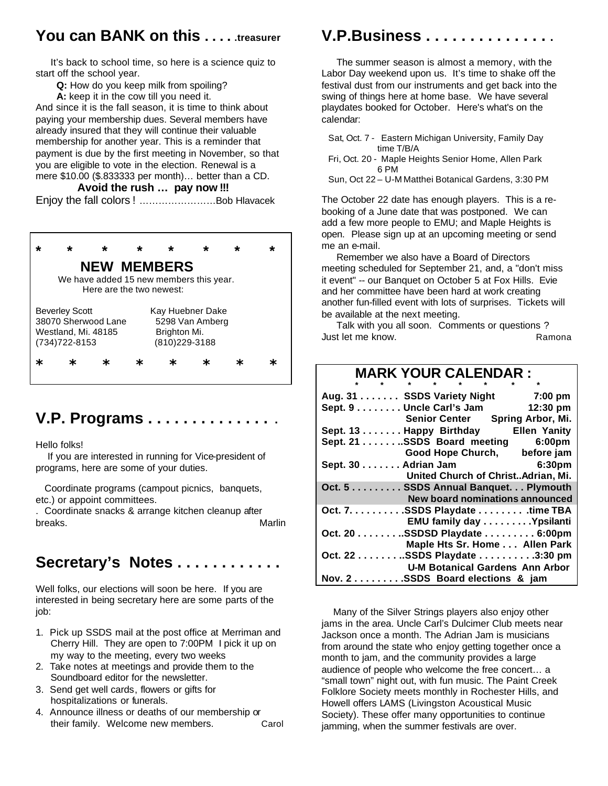### **You can BANK on this . . . . .treasurer**

 It's back to school time, so here is a science quiz to start off the school year.

**Q:** How do you keep milk from spoiling?

**A:** keep it in the cow till you need it.

And since it is the fall season, it is time to think about paying your membership dues. Several members have already insured that they will continue their valuable membership for another year. This is a reminder that payment is due by the first meeting in November, so that you are eligible to vote in the election. Renewal is a mere \$10.00 (\$.833333 per month)… better than a CD.

#### **Avoid the rush … pay now !!!**

Enjoy the fall colors ! ……………………Bob Hlavacek

#### **\* \* \* \* \* \* \* \* NEW MEMBERS** We have added 15 new members this year. Here are the two newest: Beverley Scott Kay Huebner Dake 38070 Sherwood Lane 5298 Van Amberg Westland, Mi. 48185 Brighton Mi. (734)722-8153 (810)229-3188 **\* \* \* \* \* \* \* \***

### **V.P. Programs . . . . . . . . . . . . . . .**

Hello folks!

 If you are interested in running for Vice-president of programs, here are some of your duties.

 Coordinate programs (campout picnics, banquets, etc.) or appoint committees.

. Coordinate snacks & arrange kitchen cleanup after breaks. Marlin Marlin Marlin Marlin

### **Secretary's Notes . . . . . . . . . . . .**

Well folks, our elections will soon be here. If you are interested in being secretary here are some parts of the job:

- 1. Pick up SSDS mail at the post office at Merriman and Cherry Hill. They are open to 7:00PM I pick it up on my way to the meeting, every two weeks
- 2. Take notes at meetings and provide them to the Soundboard editor for the newsletter.
- 3. Send get well cards, flowers or gifts for hospitalizations or funerals.
- 4. Announce illness or deaths of our membership or their family. Welcome new members. Carol

# **V.P.Business . . . . . . . . . . . . . . .**

 The summer season is almost a memory, with the Labor Day weekend upon us. It's time to shake off the festival dust from our instruments and get back into the swing of things here at home base. We have several playdates booked for October. Here's what's on the calendar:

- Sat, Oct. 7 Eastern Michigan University, Family Day time T/B/A
- Fri, Oct. 20 Maple Heights Senior Home, Allen Park 6 PM

Sun, Oct 22 – U-M Matthei Botanical Gardens, 3:30 PM

The October 22 date has enough players. This is a rebooking of a June date that was postponed. We can add a few more people to EMU; and Maple Heights is open. Please sign up at an upcoming meeting or send me an e-mail.

 Remember we also have a Board of Directors meeting scheduled for September 21, and, a "don't miss it event" -- our Banquet on October 5 at Fox Hills. Evie and her committee have been hard at work creating another fun-filled event with lots of surprises. Tickets will be available at the next meeting.

 Talk with you all soon. Comments or questions ? Just let me know. A contract the set of the Ramona

### **MARK YOUR CALENDAR :**

| Aug. 31 SSDS Variety Night 7:00 pm             |
|------------------------------------------------|
| Sept. 9 Uncle Carl's Jam<br>12:30 pm           |
| Senior Center Spring Arbor, Mi.                |
| Sept. 13 Happy Birthday<br><b>Ellen Yanity</b> |
| Sept. 21 SSDS Board meeting 6:00pm             |
| Good Hope Church, before jam                   |
| Sept. 30 Adrian Jam 6:30pm                     |
| United Church of ChristAdrian, Mi.             |
| Oct. 5 SSDS Annual Banquet. Plymouth           |
| <b>New board nominations announced</b>         |
| Oct. 7. SSDS Playdate time TBA                 |
| EMU family day Ypsilanti                       |
| Oct. 20 SSDSD Playdate 6:00pm                  |
| Maple Hts Sr. Home Allen Park                  |
| Oct. 22 SSDS Playdate 3:30 pm                  |
| <b>U-M Botanical Gardens Ann Arbor</b>         |
| Nov. 2SSDS Board elections & jam               |

 Many of the Silver Strings players also enjoy other jams in the area. Uncle Carl's Dulcimer Club meets near Jackson once a month. The Adrian Jam is musicians from around the state who enjoy getting together once a month to jam, and the community provides a large audience of people who welcome the free concert… a "small town" night out, with fun music. The Paint Creek Folklore Society meets monthly in Rochester Hills, and Howell offers LAMS (Livingston Acoustical Music Society). These offer many opportunities to continue jamming, when the summer festivals are over.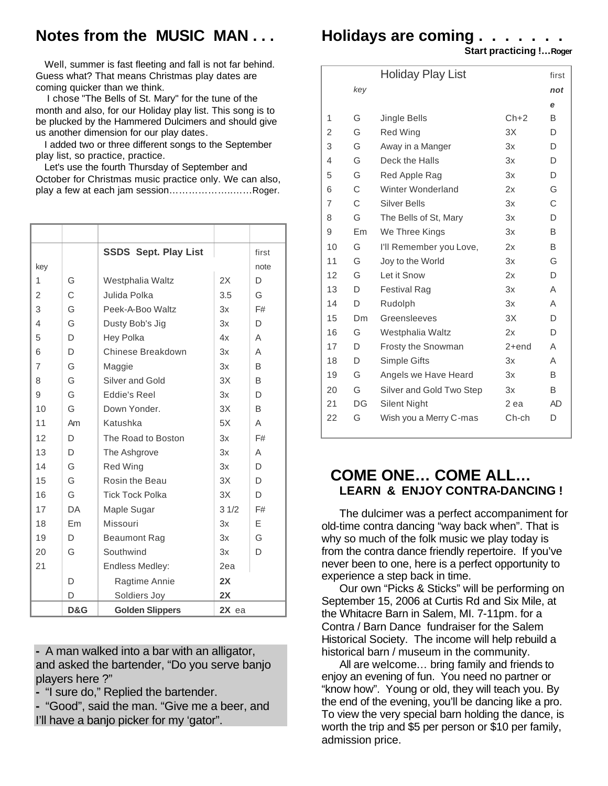## **Notes from the MUSIC MAN . . .**

 Well, summer is fast fleeting and fall is not far behind. Guess what? That means Christmas play dates are coming quicker than we think.

 I chose "The Bells of St. Mary" for the tune of the month and also, for our Holiday play list. This song is to be plucked by the Hammered Dulcimers and should give us another dimension for our play dates.

 I added two or three different songs to the September play list, so practice, practice.

 Let's use the fourth Thursday of September and October for Christmas music practice only. We can also, play a few at each jam session………………..……Roger.

|     |     | <b>SSDS Sept. Play List</b> |         | first |
|-----|-----|-----------------------------|---------|-------|
| key |     |                             |         | note  |
| 1   | G   | Westphalia Waltz            | 2X      | D     |
| 2   | C   | Julida Polka                | 3.5     | G     |
| 3   | G   | Peek-A-Boo Waltz            | 3x      | F#    |
| 4   | G   | Dusty Bob's Jig             | 3x      | D     |
| 5   | D   | Hey Polka                   | 4x      | Α     |
| 6   | D   | Chinese Breakdown           | 3x      | A     |
| 7   | G   | Maggie                      | 3x      | B     |
| 8   | G   | Silver and Gold             | 3X      | B     |
| 9   | G   | Eddie's Reel                | 3x      | D     |
| 10  | G   | Down Yonder.                | 3X      | B     |
| 11  | Am  | Katushka                    | 5X      | A     |
| 12  | D   | The Road to Boston          | 3x      | F#    |
| 13  | D   | The Ashgrove                | 3x      | A     |
| 14  | G   | <b>Red Wing</b>             | 3x      | D     |
| 15  | G   | Rosin the Beau              | 3X      | D     |
| 16  | G   | <b>Tick Tock Polka</b>      | 3X      | D     |
| 17  | DA  | Maple Sugar                 | 31/2    | F#    |
| 18  | Em  | Missouri                    | 3x      | F     |
| 19  | D   | Beaumont Rag                | 3x      | G     |
| 20  | G   | Southwind                   | 3x      | D     |
| 21  |     | Endless Medley:             | 2ea     |       |
|     | D   | Ragtime Annie               | 2X      |       |
|     | D   | Soldiers Joy                | 2X      |       |
|     | D&G | <b>Golden Slippers</b>      | $2X$ ea |       |

**-** A man walked into a bar with an alligator, and asked the bartender, "Do you serve banjo players here ?"

**-** "I sure do," Replied the bartender.

**-** "Good", said the man. "Give me a beer, and I'll have a banjo picker for my 'gator".

### **Holidays are coming . . . . . . .**

 **Start practicing !…Roger**

|    |     | <b>Holiday Play List</b> |         | first     |
|----|-----|--------------------------|---------|-----------|
|    | key |                          |         | not       |
|    |     |                          |         | е         |
| 1  | G   | Jingle Bells             | $Ch+2$  | B         |
| 2  | G   | <b>Red Wing</b>          | 3X      | D         |
| 3  | G   | Away in a Manger         | 3x      | D         |
| 4  | G   | Deck the Halls           | 3x      | D         |
| 5  | G   | Red Apple Rag            | 3x      | D         |
| 6  | C   | Winter Wonderland        | 2x      | G         |
| 7  | C   | Silver Bells             | 3x      | C         |
| 8  | G   | The Bells of St, Mary    | 3x      | D         |
| 9  | Em  | We Three Kings           | 3x      | B         |
| 10 | G   | I'll Remember you Love,  | 2x      | B         |
| 11 | G   | Joy to the World         | 3x      | G         |
| 12 | G   | Let it Snow              | 2x      | D         |
| 13 | D   | <b>Festival Rag</b>      | 3x      | Α         |
| 14 | D   | Rudolph                  | 3x      | Α         |
| 15 | Dm. | Greensleeves             | 3X      | D         |
| 16 | G   | Westphalia Waltz         | 2x      | D         |
| 17 | D   | Frosty the Snowman       | $2+end$ | A         |
| 18 | D   | Simple Gifts             | 3x      | Α         |
| 19 | G   | Angels we Have Heard     | 3x      | B         |
| 20 | G   | Silver and Gold Two Step | 3x      | B         |
| 21 | DG  | Silent Night             | 2 ea    | <b>AD</b> |
| 22 | G   | Wish you a Merry C-mas   | Ch-ch   | D         |

### **COME ONE… COME ALL… LEARN & ENJOY CONTRA-DANCING !**

 The dulcimer was a perfect accompaniment for old-time contra dancing "way back when". That is why so much of the folk music we play today is from the contra dance friendly repertoire. If you've never been to one, here is a perfect opportunity to experience a step back in time.

 Our own "Picks & Sticks" will be performing on September 15, 2006 at Curtis Rd and Six Mile, at the Whitacre Barn in Salem, MI. 7-11pm. for a Contra / Barn Dance fundraiser for the Salem Historical Society. The income will help rebuild a historical barn / museum in the community.

 All are welcome… bring family and friends to enjoy an evening of fun. You need no partner or "know how". Young or old, they will teach you. By the end of the evening, you'll be dancing like a pro. To view the very special barn holding the dance, is worth the trip and \$5 per person or \$10 per family, admission price.